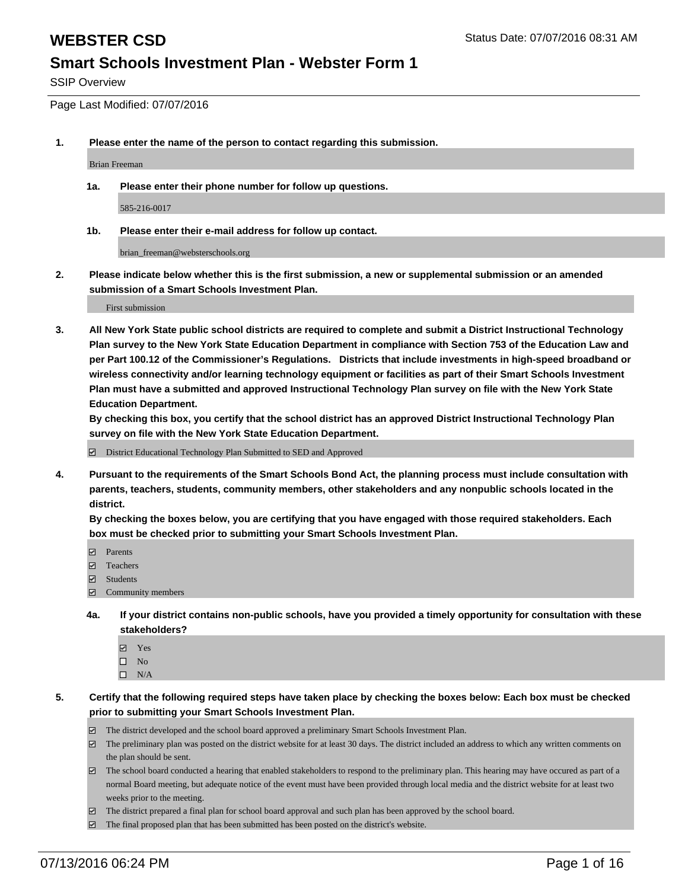SSIP Overview

Page Last Modified: 07/07/2016

**1. Please enter the name of the person to contact regarding this submission.**

Brian Freeman

**1a. Please enter their phone number for follow up questions.**

585-216-0017

**1b. Please enter their e-mail address for follow up contact.**

brian\_freeman@websterschools.org

**2. Please indicate below whether this is the first submission, a new or supplemental submission or an amended submission of a Smart Schools Investment Plan.**

First submission

**3. All New York State public school districts are required to complete and submit a District Instructional Technology Plan survey to the New York State Education Department in compliance with Section 753 of the Education Law and per Part 100.12 of the Commissioner's Regulations. Districts that include investments in high-speed broadband or wireless connectivity and/or learning technology equipment or facilities as part of their Smart Schools Investment Plan must have a submitted and approved Instructional Technology Plan survey on file with the New York State Education Department.** 

**By checking this box, you certify that the school district has an approved District Instructional Technology Plan survey on file with the New York State Education Department.**

District Educational Technology Plan Submitted to SED and Approved

**4. Pursuant to the requirements of the Smart Schools Bond Act, the planning process must include consultation with parents, teachers, students, community members, other stakeholders and any nonpublic schools located in the district.** 

**By checking the boxes below, you are certifying that you have engaged with those required stakeholders. Each box must be checked prior to submitting your Smart Schools Investment Plan.**

- **Parents**
- □ Teachers
- $\blacksquare$  Students
- Community members
- **4a. If your district contains non-public schools, have you provided a timely opportunity for consultation with these stakeholders?**
	- Yes  $\square$  No
	- $\square$  N/A
- **5. Certify that the following required steps have taken place by checking the boxes below: Each box must be checked prior to submitting your Smart Schools Investment Plan.**
	- The district developed and the school board approved a preliminary Smart Schools Investment Plan.
	- $\boxdot$  The preliminary plan was posted on the district website for at least 30 days. The district included an address to which any written comments on the plan should be sent.
	- The school board conducted a hearing that enabled stakeholders to respond to the preliminary plan. This hearing may have occured as part of a normal Board meeting, but adequate notice of the event must have been provided through local media and the district website for at least two weeks prior to the meeting.
	- The district prepared a final plan for school board approval and such plan has been approved by the school board.
	- $\boxdot$  The final proposed plan that has been submitted has been posted on the district's website.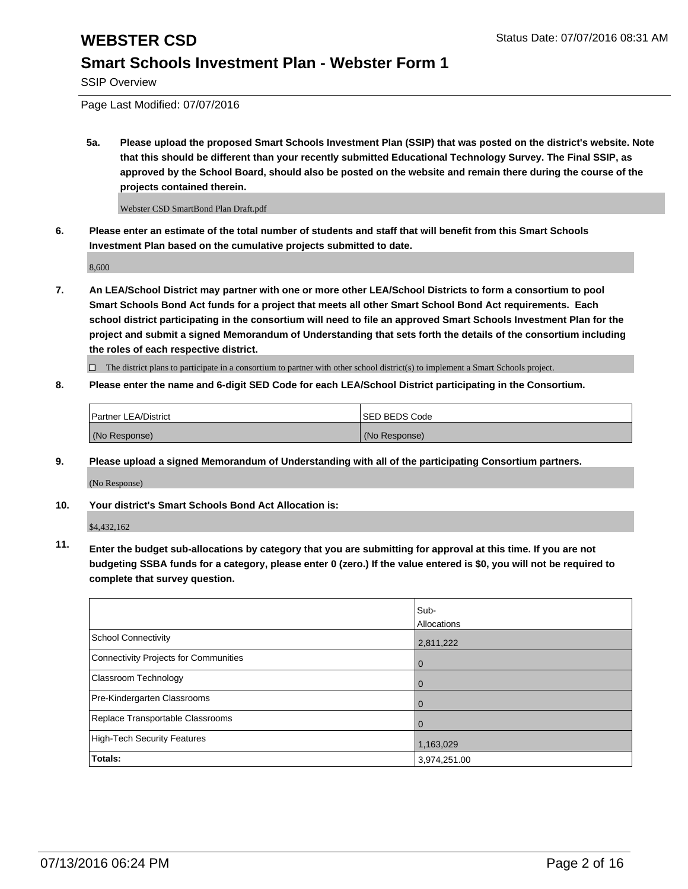SSIP Overview

Page Last Modified: 07/07/2016

**5a. Please upload the proposed Smart Schools Investment Plan (SSIP) that was posted on the district's website. Note that this should be different than your recently submitted Educational Technology Survey. The Final SSIP, as approved by the School Board, should also be posted on the website and remain there during the course of the projects contained therein.**

Webster CSD SmartBond Plan Draft.pdf

**6. Please enter an estimate of the total number of students and staff that will benefit from this Smart Schools Investment Plan based on the cumulative projects submitted to date.**

8,600

**7. An LEA/School District may partner with one or more other LEA/School Districts to form a consortium to pool Smart Schools Bond Act funds for a project that meets all other Smart School Bond Act requirements. Each school district participating in the consortium will need to file an approved Smart Schools Investment Plan for the project and submit a signed Memorandum of Understanding that sets forth the details of the consortium including the roles of each respective district.**

 $\Box$  The district plans to participate in a consortium to partner with other school district(s) to implement a Smart Schools project.

### **8. Please enter the name and 6-digit SED Code for each LEA/School District participating in the Consortium.**

| <b>Partner LEA/District</b> | <b>ISED BEDS Code</b> |
|-----------------------------|-----------------------|
| (No Response)               | (No Response)         |

**9. Please upload a signed Memorandum of Understanding with all of the participating Consortium partners.**

(No Response)

**10. Your district's Smart Schools Bond Act Allocation is:**

\$4,432,162

**11. Enter the budget sub-allocations by category that you are submitting for approval at this time. If you are not budgeting SSBA funds for a category, please enter 0 (zero.) If the value entered is \$0, you will not be required to complete that survey question.**

|                                       | Sub-         |
|---------------------------------------|--------------|
|                                       | Allocations  |
| School Connectivity                   | 2,811,222    |
| Connectivity Projects for Communities | $\Omega$     |
| Classroom Technology                  | Û            |
| Pre-Kindergarten Classrooms           |              |
| Replace Transportable Classrooms      |              |
| High-Tech Security Features           | 1,163,029    |
| <b>Totals:</b>                        | 3,974,251.00 |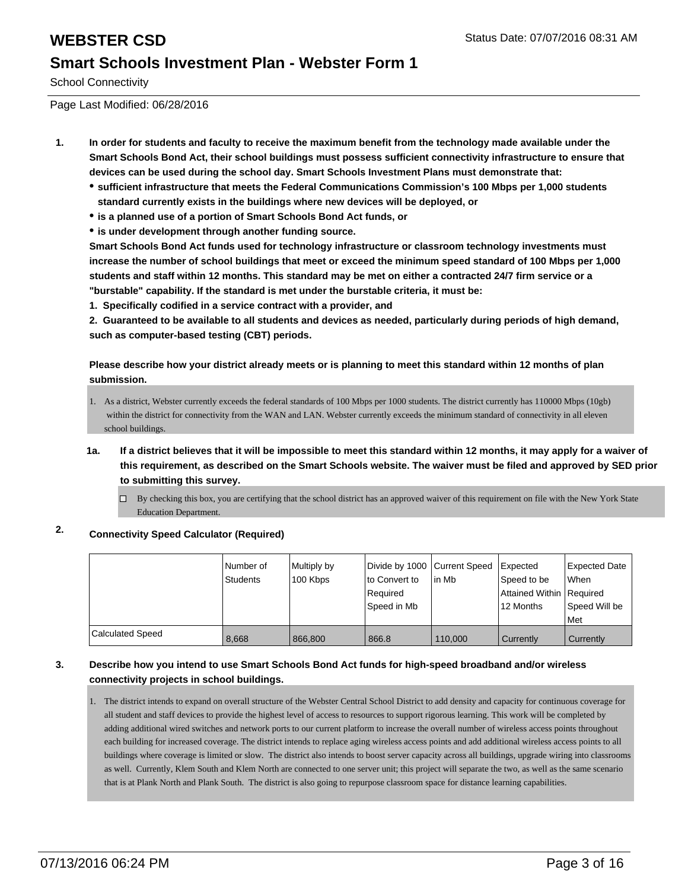School Connectivity

Page Last Modified: 06/28/2016

- **1. In order for students and faculty to receive the maximum benefit from the technology made available under the Smart Schools Bond Act, their school buildings must possess sufficient connectivity infrastructure to ensure that devices can be used during the school day. Smart Schools Investment Plans must demonstrate that:**
	- **sufficient infrastructure that meets the Federal Communications Commission's 100 Mbps per 1,000 students standard currently exists in the buildings where new devices will be deployed, or**
	- **is a planned use of a portion of Smart Schools Bond Act funds, or**
	- **is under development through another funding source.**

**Smart Schools Bond Act funds used for technology infrastructure or classroom technology investments must increase the number of school buildings that meet or exceed the minimum speed standard of 100 Mbps per 1,000 students and staff within 12 months. This standard may be met on either a contracted 24/7 firm service or a "burstable" capability. If the standard is met under the burstable criteria, it must be:**

**1. Specifically codified in a service contract with a provider, and**

**2. Guaranteed to be available to all students and devices as needed, particularly during periods of high demand, such as computer-based testing (CBT) periods.**

**Please describe how your district already meets or is planning to meet this standard within 12 months of plan submission.**

- As a district, Webster currently exceeds the federal standards of 100 Mbps per 1000 students. The district currently has 110000 Mbps (10gb) 1. within the district for connectivity from the WAN and LAN. Webster currently exceeds the minimum standard of connectivity in all eleven school buildings.
- **1a. If a district believes that it will be impossible to meet this standard within 12 months, it may apply for a waiver of this requirement, as described on the Smart Schools website. The waiver must be filed and approved by SED prior to submitting this survey.**
	- $\Box$  By checking this box, you are certifying that the school district has an approved waiver of this requirement on file with the New York State Education Department.

### **2. Connectivity Speed Calculator (Required)**

|                         | l Number of<br><b>Students</b> | Multiply by<br>100 Kbps | Divide by 1000 Current Speed<br>to Convert to<br>Required<br>Speed in Mb | l in Mb | <b>Expected</b><br>Speed to be<br>Attained Within   Required<br>12 Months | <b>Expected Date</b><br><b>When</b><br>Speed Will be<br>l Met |
|-------------------------|--------------------------------|-------------------------|--------------------------------------------------------------------------|---------|---------------------------------------------------------------------------|---------------------------------------------------------------|
| <b>Calculated Speed</b> | 8.668                          | 866,800                 | 866.8                                                                    | 110,000 | <b>Currently</b>                                                          | Currently                                                     |

### **3. Describe how you intend to use Smart Schools Bond Act funds for high-speed broadband and/or wireless connectivity projects in school buildings.**

1. The district intends to expand on overall structure of the Webster Central School District to add density and capacity for continuous coverage for all student and staff devices to provide the highest level of access to resources to support rigorous learning. This work will be completed by adding additional wired switches and network ports to our current platform to increase the overall number of wireless access points throughout each building for increased coverage. The district intends to replace aging wireless access points and add additional wireless access points to all buildings where coverage is limited or slow. The district also intends to boost server capacity across all buildings, upgrade wiring into classrooms as well. Currently, Klem South and Klem North are connected to one server unit; this project will separate the two, as well as the same scenario that is at Plank North and Plank South. The district is also going to repurpose classroom space for distance learning capabilities.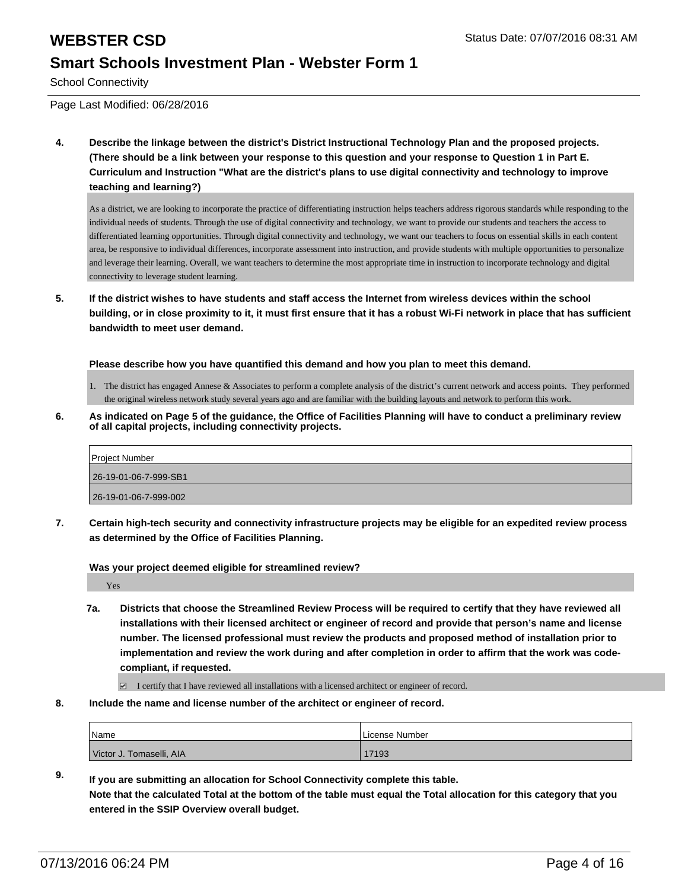School Connectivity

Page Last Modified: 06/28/2016

**4. Describe the linkage between the district's District Instructional Technology Plan and the proposed projects. (There should be a link between your response to this question and your response to Question 1 in Part E. Curriculum and Instruction "What are the district's plans to use digital connectivity and technology to improve teaching and learning?)**

As a district, we are looking to incorporate the practice of differentiating instruction helps teachers address rigorous standards while responding to the individual needs of students. Through the use of digital connectivity and technology, we want to provide our students and teachers the access to differentiated learning opportunities. Through digital connectivity and technology, we want our teachers to focus on essential skills in each content area, be responsive to individual differences, incorporate assessment into instruction, and provide students with multiple opportunities to personalize and leverage their learning. Overall, we want teachers to determine the most appropriate time in instruction to incorporate technology and digital connectivity to leverage student learning.

**5. If the district wishes to have students and staff access the Internet from wireless devices within the school building, or in close proximity to it, it must first ensure that it has a robust Wi-Fi network in place that has sufficient bandwidth to meet user demand.**

**Please describe how you have quantified this demand and how you plan to meet this demand.**

- 1. The district has engaged Annese & Associates to perform a complete analysis of the district's current network and access points. They performed the original wireless network study several years ago and are familiar with the building layouts and network to perform this work.
- **6. As indicated on Page 5 of the guidance, the Office of Facilities Planning will have to conduct a preliminary review of all capital projects, including connectivity projects.**

| Project Number        |  |
|-----------------------|--|
| 26-19-01-06-7-999-SB1 |  |
| 26-19-01-06-7-999-002 |  |

**7. Certain high-tech security and connectivity infrastructure projects may be eligible for an expedited review process as determined by the Office of Facilities Planning.**

**Was your project deemed eligible for streamlined review?**

Yes

**7a. Districts that choose the Streamlined Review Process will be required to certify that they have reviewed all installations with their licensed architect or engineer of record and provide that person's name and license number. The licensed professional must review the products and proposed method of installation prior to implementation and review the work during and after completion in order to affirm that the work was codecompliant, if requested.**

 $\Box$  I certify that I have reviewed all installations with a licensed architect or engineer of record.

**8. Include the name and license number of the architect or engineer of record.**

| <sup>'</sup> Name        | License Number |
|--------------------------|----------------|
| Victor J. Tomaselli, AIA | 17193          |

**9. If you are submitting an allocation for School Connectivity complete this table. Note that the calculated Total at the bottom of the table must equal the Total allocation for this category that you entered in the SSIP Overview overall budget.**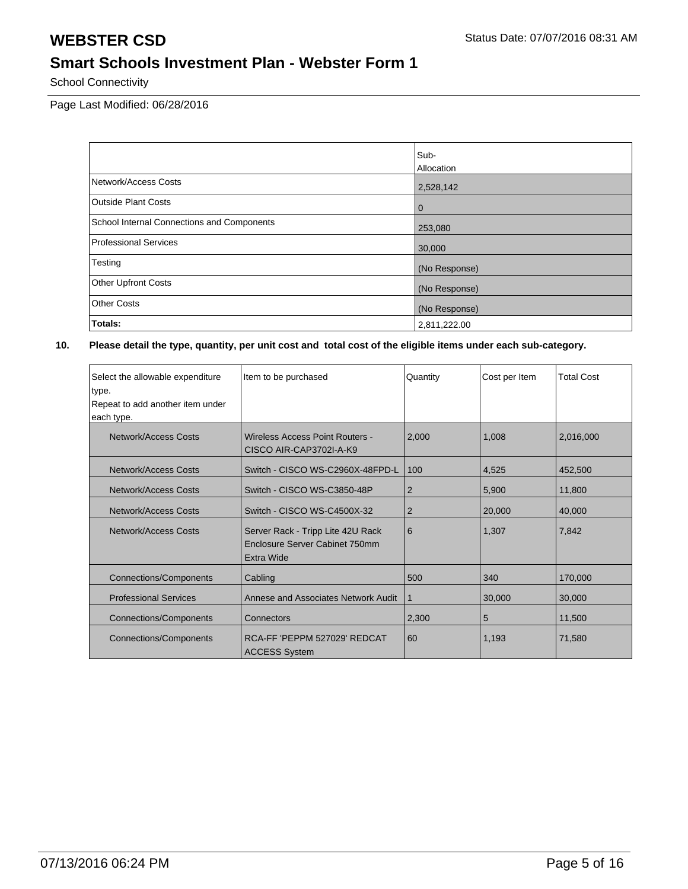School Connectivity

Page Last Modified: 06/28/2016

|                                            | Sub-          |
|--------------------------------------------|---------------|
|                                            | Allocation    |
| Network/Access Costs                       | 2,528,142     |
| <b>Outside Plant Costs</b>                 | l 0           |
| School Internal Connections and Components | 253,080       |
| <b>Professional Services</b>               | 30,000        |
| Testing                                    | (No Response) |
| Other Upfront Costs                        | (No Response) |
| <b>Other Costs</b>                         | (No Response) |
| Totals:                                    | 2,811,222.00  |

| Select the allowable expenditure<br>type.<br>Repeat to add another item under<br>each type. | Item to be purchased                                                              | Quantity       | Cost per Item | <b>Total Cost</b> |
|---------------------------------------------------------------------------------------------|-----------------------------------------------------------------------------------|----------------|---------------|-------------------|
| Network/Access Costs                                                                        | <b>Wireless Access Point Routers -</b><br>CISCO AIR-CAP3702I-A-K9                 | 2,000          | 1,008         | 2,016,000         |
| Network/Access Costs                                                                        | Switch - CISCO WS-C2960X-48FPD-L                                                  | 100            | 4,525         | 452,500           |
| Network/Access Costs                                                                        | Switch - CISCO WS-C3850-48P                                                       | $\overline{2}$ | 5,900         | 11,800            |
| Network/Access Costs                                                                        | Switch - CISCO WS-C4500X-32                                                       | $\overline{2}$ | 20,000        | 40,000            |
| Network/Access Costs                                                                        | Server Rack - Tripp Lite 42U Rack<br>Enclosure Server Cabinet 750mm<br>Extra Wide | 6              | 1,307         | 7,842             |
| <b>Connections/Components</b>                                                               | Cabling                                                                           | 500            | 340           | 170,000           |
| <b>Professional Services</b>                                                                | Annese and Associates Network Audit                                               | $\mathbf 1$    | 30,000        | 30,000            |
| <b>Connections/Components</b>                                                               | Connectors                                                                        | 2,300          | 5             | 11,500            |
| Connections/Components                                                                      | RCA-FF 'PEPPM 527029' REDCAT<br><b>ACCESS System</b>                              | 60             | 1,193         | 71,580            |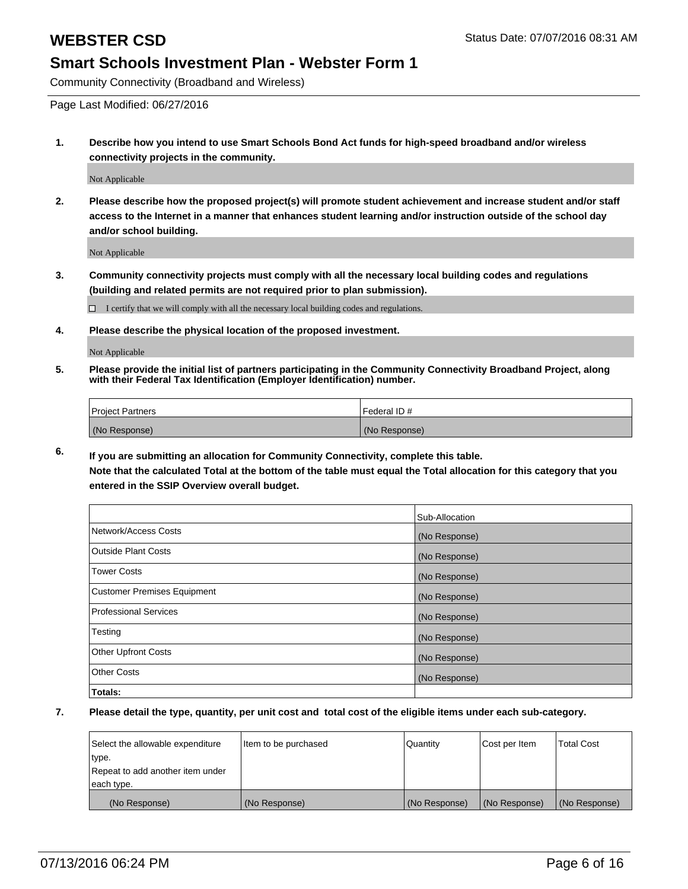Community Connectivity (Broadband and Wireless)

Page Last Modified: 06/27/2016

**1. Describe how you intend to use Smart Schools Bond Act funds for high-speed broadband and/or wireless connectivity projects in the community.**

Not Applicable

**2. Please describe how the proposed project(s) will promote student achievement and increase student and/or staff access to the Internet in a manner that enhances student learning and/or instruction outside of the school day and/or school building.**

Not Applicable

**3. Community connectivity projects must comply with all the necessary local building codes and regulations (building and related permits are not required prior to plan submission).**

 $\Box$  I certify that we will comply with all the necessary local building codes and regulations.

**4. Please describe the physical location of the proposed investment.**

Not Applicable

**5. Please provide the initial list of partners participating in the Community Connectivity Broadband Project, along with their Federal Tax Identification (Employer Identification) number.**

| Project Partners | <b>IFederal ID#</b> |
|------------------|---------------------|
| (No Response)    | (No Response)       |

**6. If you are submitting an allocation for Community Connectivity, complete this table. Note that the calculated Total at the bottom of the table must equal the Total allocation for this category that you**

**entered in the SSIP Overview overall budget.**

|                             | Sub-Allocation |
|-----------------------------|----------------|
| Network/Access Costs        | (No Response)  |
| Outside Plant Costs         | (No Response)  |
| <b>Tower Costs</b>          | (No Response)  |
| Customer Premises Equipment | (No Response)  |
| Professional Services       | (No Response)  |
| Testing                     | (No Response)  |
| Other Upfront Costs         | (No Response)  |
| Other Costs                 | (No Response)  |
| Totals:                     |                |

| Select the allowable expenditure | Item to be purchased | Quantity      | Cost per Item | <b>Total Cost</b> |
|----------------------------------|----------------------|---------------|---------------|-------------------|
| type.                            |                      |               |               |                   |
| Repeat to add another item under |                      |               |               |                   |
| each type.                       |                      |               |               |                   |
| (No Response)                    | (No Response)        | (No Response) | (No Response) | (No Response)     |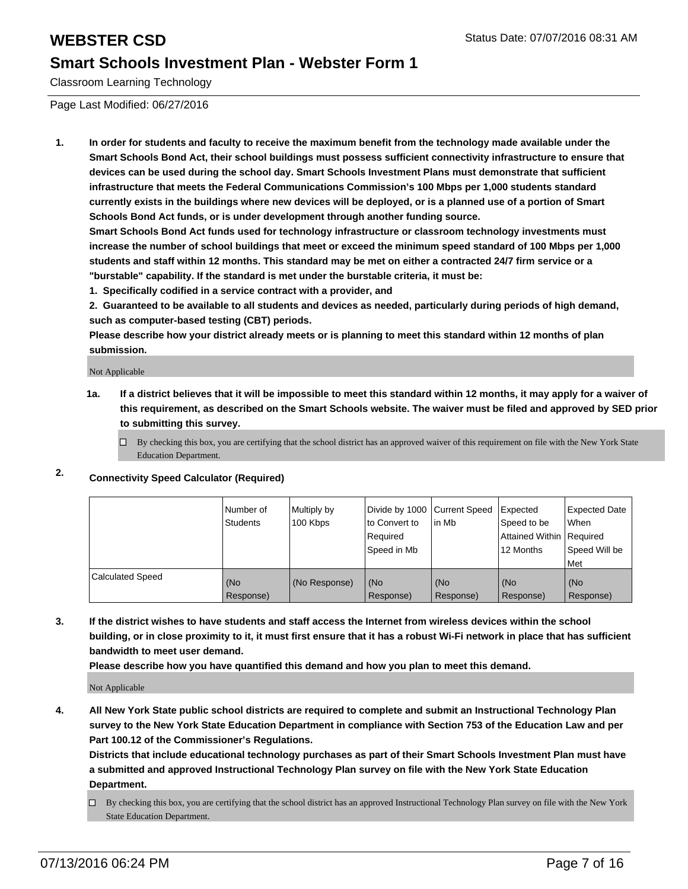Classroom Learning Technology

Page Last Modified: 06/27/2016

**1. In order for students and faculty to receive the maximum benefit from the technology made available under the Smart Schools Bond Act, their school buildings must possess sufficient connectivity infrastructure to ensure that devices can be used during the school day. Smart Schools Investment Plans must demonstrate that sufficient infrastructure that meets the Federal Communications Commission's 100 Mbps per 1,000 students standard currently exists in the buildings where new devices will be deployed, or is a planned use of a portion of Smart Schools Bond Act funds, or is under development through another funding source.**

**Smart Schools Bond Act funds used for technology infrastructure or classroom technology investments must increase the number of school buildings that meet or exceed the minimum speed standard of 100 Mbps per 1,000 students and staff within 12 months. This standard may be met on either a contracted 24/7 firm service or a "burstable" capability. If the standard is met under the burstable criteria, it must be:**

**1. Specifically codified in a service contract with a provider, and**

**2. Guaranteed to be available to all students and devices as needed, particularly during periods of high demand, such as computer-based testing (CBT) periods.**

**Please describe how your district already meets or is planning to meet this standard within 12 months of plan submission.**

Not Applicable

- **1a. If a district believes that it will be impossible to meet this standard within 12 months, it may apply for a waiver of this requirement, as described on the Smart Schools website. The waiver must be filed and approved by SED prior to submitting this survey.**
	- $\Box$  By checking this box, you are certifying that the school district has an approved waiver of this requirement on file with the New York State Education Department.
- **2. Connectivity Speed Calculator (Required)**

|                         | l Number of<br>Students | Multiply by<br>100 Kbps | Divide by 1000 Current Speed<br>to Convert to<br>l Reauired<br> Speed in Mb | lin Mb           | <b>Expected</b><br>Speed to be<br>Attained Within Required<br>12 Months | <b>Expected Date</b><br>l When<br>Speed Will be<br>l Met |
|-------------------------|-------------------------|-------------------------|-----------------------------------------------------------------------------|------------------|-------------------------------------------------------------------------|----------------------------------------------------------|
| <b>Calculated Speed</b> | (No<br>Response)        | (No Response)           | (No<br>Response)                                                            | (No<br>Response) | l (No<br>Response)                                                      | l (No<br>Response)                                       |

**3. If the district wishes to have students and staff access the Internet from wireless devices within the school building, or in close proximity to it, it must first ensure that it has a robust Wi-Fi network in place that has sufficient bandwidth to meet user demand.**

**Please describe how you have quantified this demand and how you plan to meet this demand.**

Not Applicable

**4. All New York State public school districts are required to complete and submit an Instructional Technology Plan survey to the New York State Education Department in compliance with Section 753 of the Education Law and per Part 100.12 of the Commissioner's Regulations.**

**Districts that include educational technology purchases as part of their Smart Schools Investment Plan must have a submitted and approved Instructional Technology Plan survey on file with the New York State Education Department.**

By checking this box, you are certifying that the school district has an approved Instructional Technology Plan survey on file with the New York State Education Department.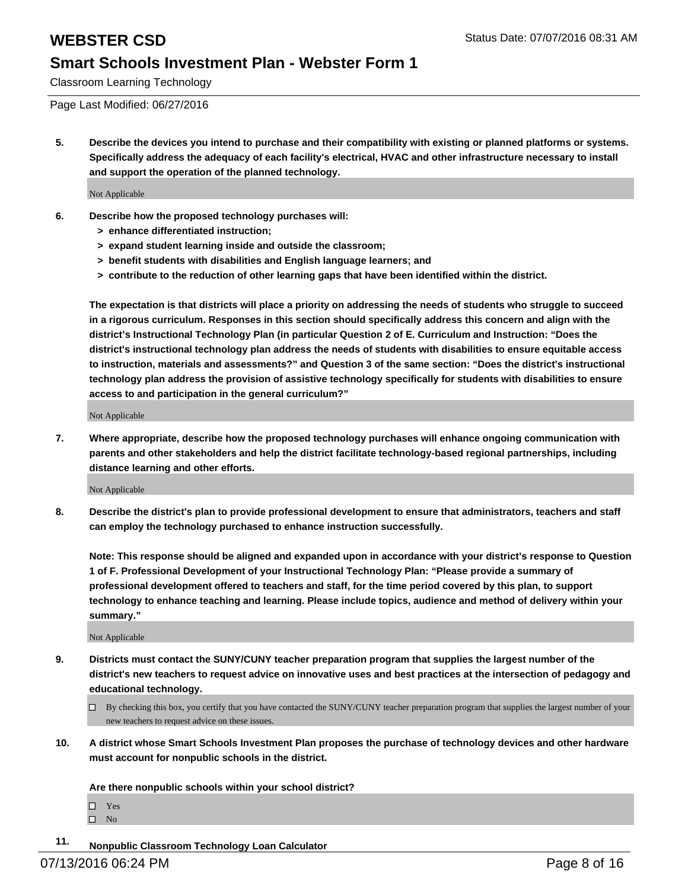Classroom Learning Technology

Page Last Modified: 06/27/2016

**5. Describe the devices you intend to purchase and their compatibility with existing or planned platforms or systems. Specifically address the adequacy of each facility's electrical, HVAC and other infrastructure necessary to install and support the operation of the planned technology.**

Not Applicable

- **6. Describe how the proposed technology purchases will:**
	- **> enhance differentiated instruction;**
	- **> expand student learning inside and outside the classroom;**
	- **> benefit students with disabilities and English language learners; and**
	- **> contribute to the reduction of other learning gaps that have been identified within the district.**

**The expectation is that districts will place a priority on addressing the needs of students who struggle to succeed in a rigorous curriculum. Responses in this section should specifically address this concern and align with the district's Instructional Technology Plan (in particular Question 2 of E. Curriculum and Instruction: "Does the district's instructional technology plan address the needs of students with disabilities to ensure equitable access to instruction, materials and assessments?" and Question 3 of the same section: "Does the district's instructional technology plan address the provision of assistive technology specifically for students with disabilities to ensure access to and participation in the general curriculum?"**

Not Applicable

**7. Where appropriate, describe how the proposed technology purchases will enhance ongoing communication with parents and other stakeholders and help the district facilitate technology-based regional partnerships, including distance learning and other efforts.**

Not Applicable

**8. Describe the district's plan to provide professional development to ensure that administrators, teachers and staff can employ the technology purchased to enhance instruction successfully.**

**Note: This response should be aligned and expanded upon in accordance with your district's response to Question 1 of F. Professional Development of your Instructional Technology Plan: "Please provide a summary of professional development offered to teachers and staff, for the time period covered by this plan, to support technology to enhance teaching and learning. Please include topics, audience and method of delivery within your summary."**

Not Applicable

- **9. Districts must contact the SUNY/CUNY teacher preparation program that supplies the largest number of the district's new teachers to request advice on innovative uses and best practices at the intersection of pedagogy and educational technology.**
	- $\Box$  By checking this box, you certify that you have contacted the SUNY/CUNY teacher preparation program that supplies the largest number of your new teachers to request advice on these issues.
- **10. A district whose Smart Schools Investment Plan proposes the purchase of technology devices and other hardware must account for nonpublic schools in the district.**

**Are there nonpublic schools within your school district?**

Yes  $\hfill \square$  No

**11. Nonpublic Classroom Technology Loan Calculator**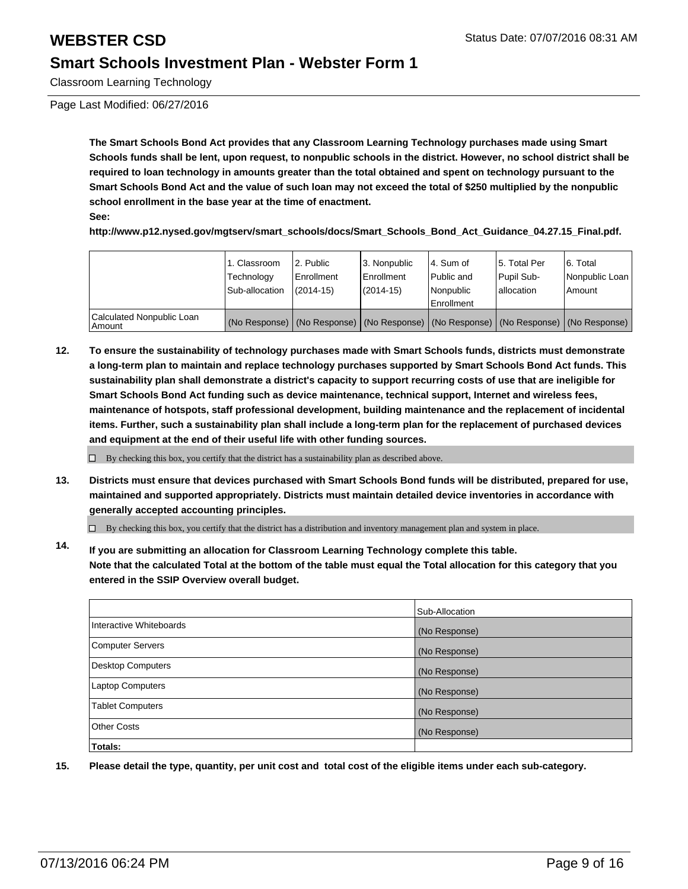Classroom Learning Technology

Page Last Modified: 06/27/2016

**The Smart Schools Bond Act provides that any Classroom Learning Technology purchases made using Smart Schools funds shall be lent, upon request, to nonpublic schools in the district. However, no school district shall be required to loan technology in amounts greater than the total obtained and spent on technology pursuant to the Smart Schools Bond Act and the value of such loan may not exceed the total of \$250 multiplied by the nonpublic school enrollment in the base year at the time of enactment.**

**See:**

**http://www.p12.nysed.gov/mgtserv/smart\_schools/docs/Smart\_Schools\_Bond\_Act\_Guidance\_04.27.15\_Final.pdf.**

|                                     | 1. Classroom<br>Technology<br>Sub-allocation | 2. Public<br>Enrollment<br>$(2014 - 15)$ | 3. Nonpublic<br><b>Enrollment</b><br>$(2014 - 15)$ | l 4. Sum of<br>Public and<br>Nonpublic<br>Enrollment | 5. Total Per<br>Pupil Sub-<br>lallocation | 6. Total<br>Nonpublic Loan<br>Amount                                                          |
|-------------------------------------|----------------------------------------------|------------------------------------------|----------------------------------------------------|------------------------------------------------------|-------------------------------------------|-----------------------------------------------------------------------------------------------|
| Calculated Nonpublic Loan<br>Amount |                                              |                                          |                                                    |                                                      |                                           | (No Response)   (No Response)   (No Response)   (No Response)   (No Response)   (No Response) |

**12. To ensure the sustainability of technology purchases made with Smart Schools funds, districts must demonstrate a long-term plan to maintain and replace technology purchases supported by Smart Schools Bond Act funds. This sustainability plan shall demonstrate a district's capacity to support recurring costs of use that are ineligible for Smart Schools Bond Act funding such as device maintenance, technical support, Internet and wireless fees, maintenance of hotspots, staff professional development, building maintenance and the replacement of incidental items. Further, such a sustainability plan shall include a long-term plan for the replacement of purchased devices and equipment at the end of their useful life with other funding sources.**

 $\Box$  By checking this box, you certify that the district has a sustainability plan as described above.

**13. Districts must ensure that devices purchased with Smart Schools Bond funds will be distributed, prepared for use, maintained and supported appropriately. Districts must maintain detailed device inventories in accordance with generally accepted accounting principles.**

 $\Box$  By checking this box, you certify that the district has a distribution and inventory management plan and system in place.

**14. If you are submitting an allocation for Classroom Learning Technology complete this table. Note that the calculated Total at the bottom of the table must equal the Total allocation for this category that you entered in the SSIP Overview overall budget.**

|                          | Sub-Allocation |
|--------------------------|----------------|
| Interactive Whiteboards  | (No Response)  |
| Computer Servers         | (No Response)  |
| <b>Desktop Computers</b> | (No Response)  |
| <b>Laptop Computers</b>  | (No Response)  |
| <b>Tablet Computers</b>  | (No Response)  |
| Other Costs              | (No Response)  |
| Totals:                  |                |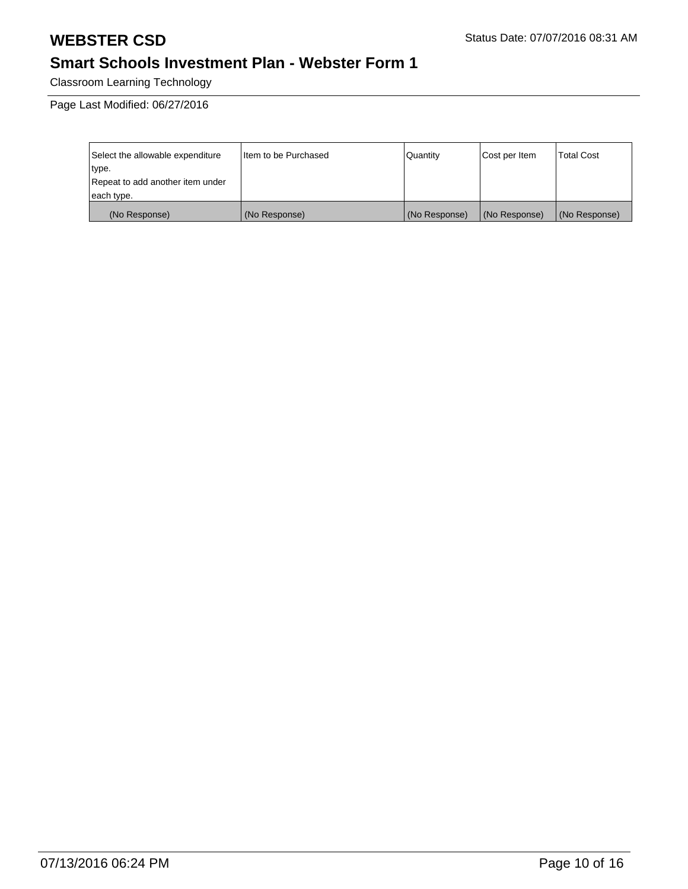Classroom Learning Technology

Page Last Modified: 06/27/2016

| Select the allowable expenditure | I Item to be Purchased | Quantity      | Cost per Item | Total Cost    |
|----------------------------------|------------------------|---------------|---------------|---------------|
| type.                            |                        |               |               |               |
| Repeat to add another item under |                        |               |               |               |
| each type.                       |                        |               |               |               |
| (No Response)                    | (No Response)          | (No Response) | (No Response) | (No Response) |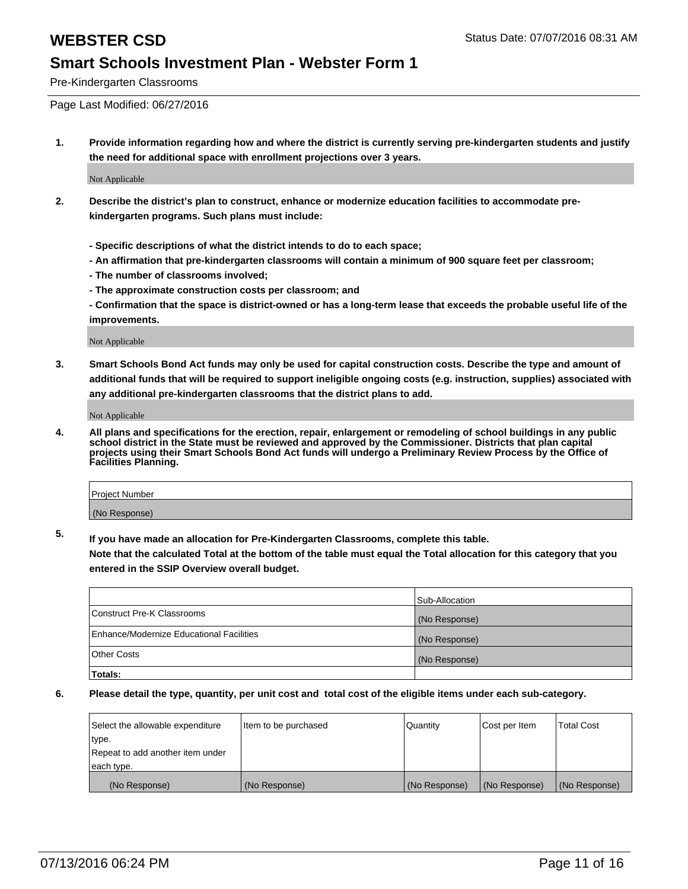Pre-Kindergarten Classrooms

Page Last Modified: 06/27/2016

**1. Provide information regarding how and where the district is currently serving pre-kindergarten students and justify the need for additional space with enrollment projections over 3 years.**

Not Applicable

- **2. Describe the district's plan to construct, enhance or modernize education facilities to accommodate prekindergarten programs. Such plans must include:**
	- **Specific descriptions of what the district intends to do to each space;**
	- **An affirmation that pre-kindergarten classrooms will contain a minimum of 900 square feet per classroom;**
	- **The number of classrooms involved;**
	- **The approximate construction costs per classroom; and**
	- **Confirmation that the space is district-owned or has a long-term lease that exceeds the probable useful life of the improvements.**

Not Applicable

**3. Smart Schools Bond Act funds may only be used for capital construction costs. Describe the type and amount of additional funds that will be required to support ineligible ongoing costs (e.g. instruction, supplies) associated with any additional pre-kindergarten classrooms that the district plans to add.**

Not Applicable

**4. All plans and specifications for the erection, repair, enlargement or remodeling of school buildings in any public school district in the State must be reviewed and approved by the Commissioner. Districts that plan capital projects using their Smart Schools Bond Act funds will undergo a Preliminary Review Process by the Office of Facilities Planning.**

| <b>Project Number</b> |  |
|-----------------------|--|
| (No Response)         |  |

**5. If you have made an allocation for Pre-Kindergarten Classrooms, complete this table.**

**Note that the calculated Total at the bottom of the table must equal the Total allocation for this category that you entered in the SSIP Overview overall budget.**

|                                          | Sub-Allocation |
|------------------------------------------|----------------|
| Construct Pre-K Classrooms               | (No Response)  |
| Enhance/Modernize Educational Facilities | (No Response)  |
| <b>Other Costs</b>                       | (No Response)  |
| Totals:                                  |                |

| Select the allowable expenditure | litem to be purchased | Quantity      | Cost per Item | <b>Total Cost</b> |
|----------------------------------|-----------------------|---------------|---------------|-------------------|
| type.                            |                       |               |               |                   |
| Repeat to add another item under |                       |               |               |                   |
| each type.                       |                       |               |               |                   |
| (No Response)                    | (No Response)         | (No Response) | (No Response) | (No Response)     |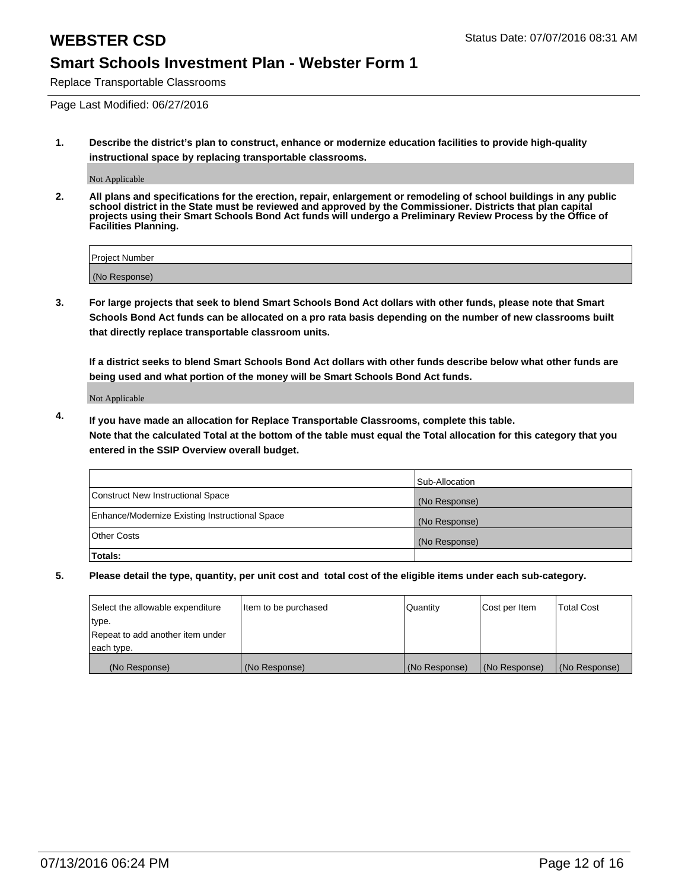Replace Transportable Classrooms

Page Last Modified: 06/27/2016

**1. Describe the district's plan to construct, enhance or modernize education facilities to provide high-quality instructional space by replacing transportable classrooms.**

Not Applicable

**2. All plans and specifications for the erection, repair, enlargement or remodeling of school buildings in any public school district in the State must be reviewed and approved by the Commissioner. Districts that plan capital projects using their Smart Schools Bond Act funds will undergo a Preliminary Review Process by the Office of Facilities Planning.**

| <b>Project Number</b> |  |
|-----------------------|--|
| (No Response)         |  |

**3. For large projects that seek to blend Smart Schools Bond Act dollars with other funds, please note that Smart Schools Bond Act funds can be allocated on a pro rata basis depending on the number of new classrooms built that directly replace transportable classroom units.**

**If a district seeks to blend Smart Schools Bond Act dollars with other funds describe below what other funds are being used and what portion of the money will be Smart Schools Bond Act funds.**

Not Applicable

**4. If you have made an allocation for Replace Transportable Classrooms, complete this table. Note that the calculated Total at the bottom of the table must equal the Total allocation for this category that you entered in the SSIP Overview overall budget.**

|                                                | Sub-Allocation |
|------------------------------------------------|----------------|
| Construct New Instructional Space              | (No Response)  |
| Enhance/Modernize Existing Instructional Space | (No Response)  |
| Other Costs                                    | (No Response)  |
| Totals:                                        |                |

| Select the allowable expenditure | Item to be purchased | Quantity      | Cost per Item | <b>Total Cost</b> |
|----------------------------------|----------------------|---------------|---------------|-------------------|
| type.                            |                      |               |               |                   |
| Repeat to add another item under |                      |               |               |                   |
| each type.                       |                      |               |               |                   |
| (No Response)                    | (No Response)        | (No Response) | (No Response) | (No Response)     |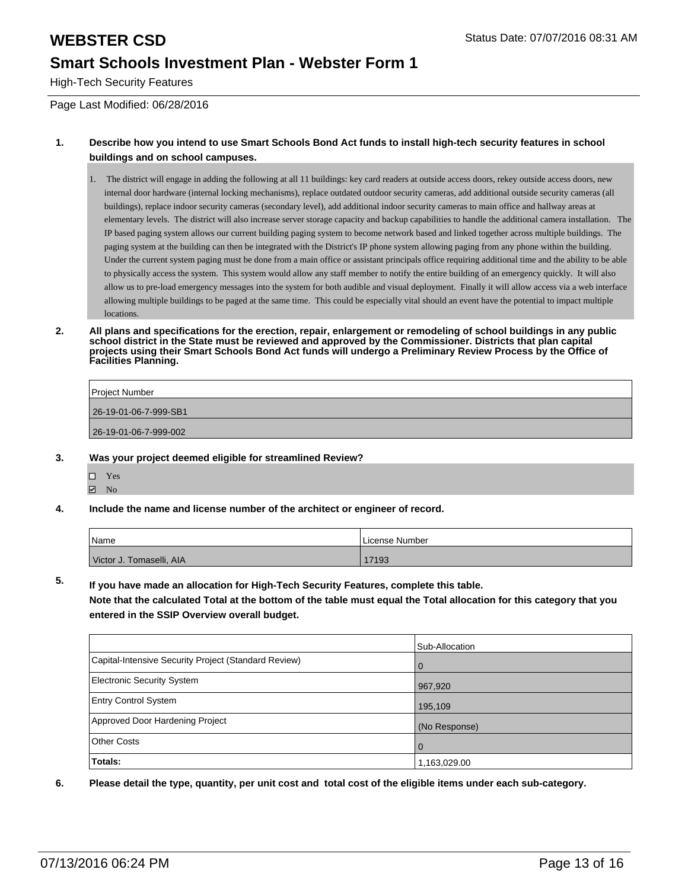High-Tech Security Features

Page Last Modified: 06/28/2016

### **1. Describe how you intend to use Smart Schools Bond Act funds to install high-tech security features in school buildings and on school campuses.**

1. The district will engage in adding the following at all 11 buildings: key card readers at outside access doors, rekey outside access doors, new internal door hardware (internal locking mechanisms), replace outdated outdoor security cameras, add additional outside security cameras (all buildings), replace indoor security cameras (secondary level), add additional indoor security cameras to main office and hallway areas at elementary levels. The district will also increase server storage capacity and backup capabilities to handle the additional camera installation. The IP based paging system allows our current building paging system to become network based and linked together across multiple buildings. The paging system at the building can then be integrated with the District's IP phone system allowing paging from any phone within the building. Under the current system paging must be done from a main office or assistant principals office requiring additional time and the ability to be able to physically access the system. This system would allow any staff member to notify the entire building of an emergency quickly. It will also allow us to pre-load emergency messages into the system for both audible and visual deployment. Finally it will allow access via a web interface allowing multiple buildings to be paged at the same time. This could be especially vital should an event have the potential to impact multiple locations.

**2. All plans and specifications for the erection, repair, enlargement or remodeling of school buildings in any public school district in the State must be reviewed and approved by the Commissioner. Districts that plan capital projects using their Smart Schools Bond Act funds will undergo a Preliminary Review Process by the Office of Facilities Planning.** 

| Project Number        |
|-----------------------|
| 26-19-01-06-7-999-SB1 |
| 26-19-01-06-7-999-002 |
|                       |

### **3. Was your project deemed eligible for streamlined Review?**

- □ Yes **☑** No
- **4. Include the name and license number of the architect or engineer of record.**

| <sup>1</sup> Name        | License Number |
|--------------------------|----------------|
| Victor J. Tomaselli, AIA | 17193          |

**5. If you have made an allocation for High-Tech Security Features, complete this table.**

**Note that the calculated Total at the bottom of the table must equal the Total allocation for this category that you entered in the SSIP Overview overall budget.**

|                                                      | Sub-Allocation |
|------------------------------------------------------|----------------|
| Capital-Intensive Security Project (Standard Review) | l 0            |
| Electronic Security System                           | 967,920        |
| <b>Entry Control System</b>                          | 195,109        |
| Approved Door Hardening Project                      | (No Response)  |
| <b>Other Costs</b>                                   | l 0            |
| Totals:                                              | 1,163,029.00   |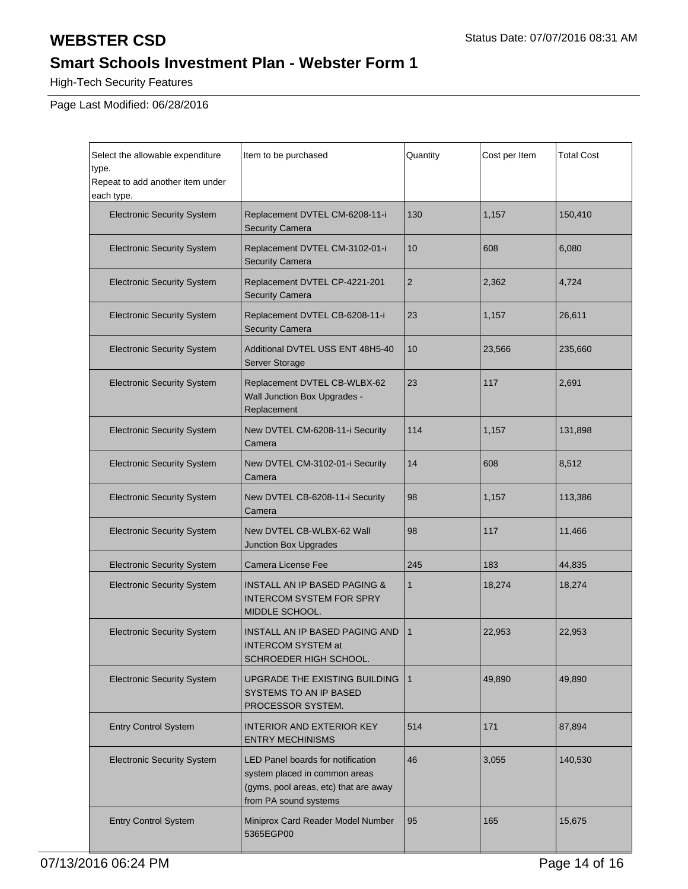High-Tech Security Features

Page Last Modified: 06/28/2016

| Select the allowable expenditure<br>type.<br>Repeat to add another item under<br>each type. | Item to be purchased                                                                                                                        | Quantity        | Cost per Item | <b>Total Cost</b> |
|---------------------------------------------------------------------------------------------|---------------------------------------------------------------------------------------------------------------------------------------------|-----------------|---------------|-------------------|
| <b>Electronic Security System</b>                                                           | Replacement DVTEL CM-6208-11-i<br><b>Security Camera</b>                                                                                    | 130             | 1,157         | 150,410           |
| <b>Electronic Security System</b>                                                           | Replacement DVTEL CM-3102-01-i<br><b>Security Camera</b>                                                                                    | 10              | 608           | 6,080             |
| <b>Electronic Security System</b>                                                           | Replacement DVTEL CP-4221-201<br><b>Security Camera</b>                                                                                     | 2               | 2,362         | 4,724             |
| <b>Electronic Security System</b>                                                           | Replacement DVTEL CB-6208-11-i<br><b>Security Camera</b>                                                                                    | 23              | 1,157         | 26,611            |
| <b>Electronic Security System</b>                                                           | Additional DVTEL USS ENT 48H5-40<br>Server Storage                                                                                          | 10 <sup>1</sup> | 23,566        | 235,660           |
| <b>Electronic Security System</b>                                                           | Replacement DVTEL CB-WLBX-62<br>Wall Junction Box Upgrades -<br>Replacement                                                                 | 23              | 117           | 2,691             |
| <b>Electronic Security System</b>                                                           | New DVTEL CM-6208-11-i Security<br>Camera                                                                                                   | 114             | 1,157         | 131,898           |
| <b>Electronic Security System</b>                                                           | New DVTEL CM-3102-01-i Security<br>Camera                                                                                                   | 14              | 608           | 8,512             |
| <b>Electronic Security System</b>                                                           | New DVTEL CB-6208-11-i Security<br>Camera                                                                                                   | 98              | 1,157         | 113,386           |
| <b>Electronic Security System</b>                                                           | New DVTEL CB-WLBX-62 Wall<br>Junction Box Upgrades                                                                                          | 98              | 117           | 11,466            |
| <b>Electronic Security System</b>                                                           | Camera License Fee                                                                                                                          | 245             | 183           | 44,835            |
| <b>Electronic Security System</b>                                                           | <b>INSTALL AN IP BASED PAGING &amp;</b><br><b>INTERCOM SYSTEM FOR SPRY</b><br>MIDDLE SCHOOL.                                                | 1               | 18,274        | 18,274            |
| <b>Electronic Security System</b>                                                           | INSTALL AN IP BASED PAGING AND<br><b>INTERCOM SYSTEM at</b><br>SCHROEDER HIGH SCHOOL.                                                       | 1               | 22,953        | 22,953            |
| <b>Electronic Security System</b>                                                           | UPGRADE THE EXISTING BUILDING<br>SYSTEMS TO AN IP BASED<br>PROCESSOR SYSTEM.                                                                | $\mathbf{1}$    | 49,890        | 49,890            |
| <b>Entry Control System</b>                                                                 | <b>INTERIOR AND EXTERIOR KEY</b><br><b>ENTRY MECHINISMS</b>                                                                                 | 514             | 171           | 87,894            |
| <b>Electronic Security System</b>                                                           | <b>LED Panel boards for notification</b><br>system placed in common areas<br>(gyms, pool areas, etc) that are away<br>from PA sound systems | 46              | 3,055         | 140,530           |
| <b>Entry Control System</b>                                                                 | Miniprox Card Reader Model Number<br>5365EGP00                                                                                              | 95              | 165           | 15,675            |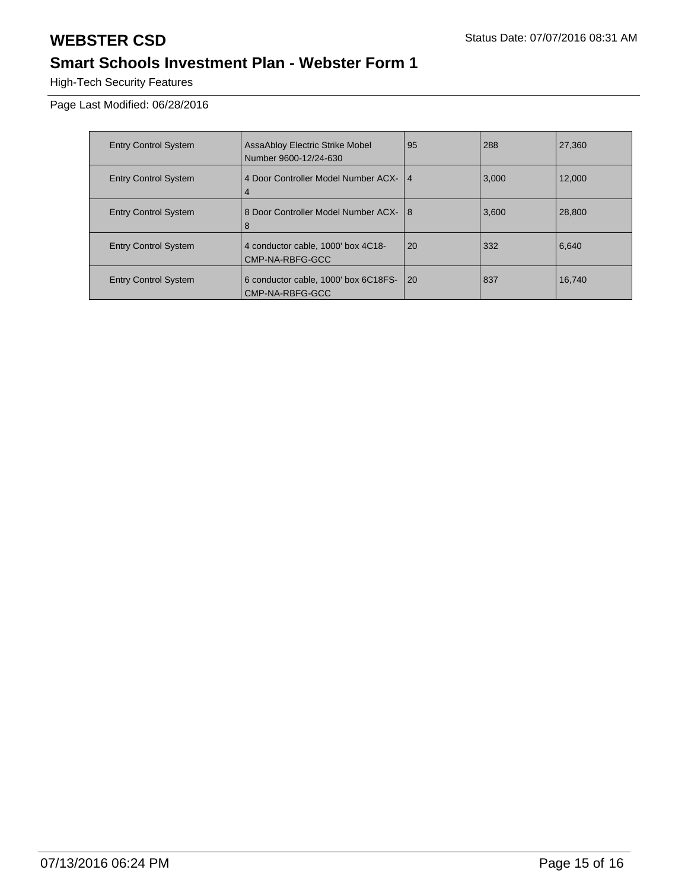High-Tech Security Features

Page Last Modified: 06/28/2016

| <b>Entry Control System</b> | AssaAbloy Electric Strike Mobel<br>Number 9600-12/24-630 | 95 | 288   | 27,360 |
|-----------------------------|----------------------------------------------------------|----|-------|--------|
| <b>Entry Control System</b> | 4 Door Controller Model Number ACX- 14<br>$\overline{4}$ |    | 3,000 | 12.000 |
| <b>Entry Control System</b> | 8 Door Controller Model Number ACX-<br>8                 | 8  | 3,600 | 28,800 |
| <b>Entry Control System</b> | 4 conductor cable, 1000' box 4C18-<br>CMP-NA-RBFG-GCC    | 20 | 332   | 6,640  |
| <b>Entry Control System</b> | 6 conductor cable, 1000' box 6C18FS-<br>CMP-NA-RBFG-GCC  | 20 | 837   | 16.740 |